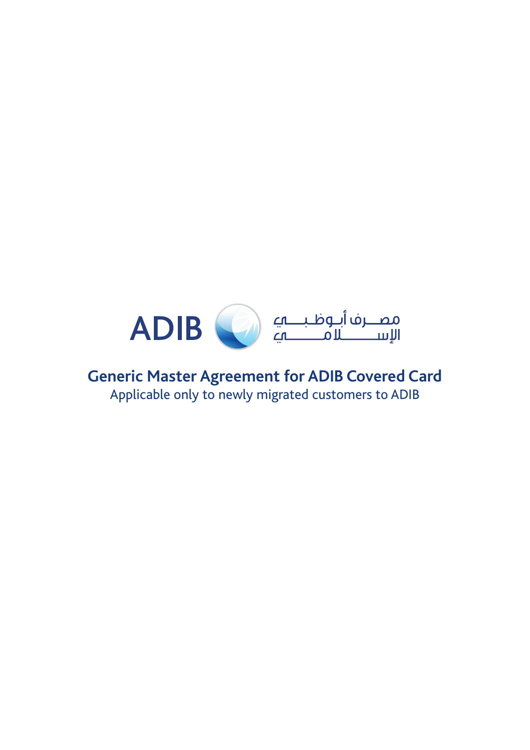

## **Generic Master Agreement for ADIB Covered Card** Applicable only to newly migrated customers to ADIB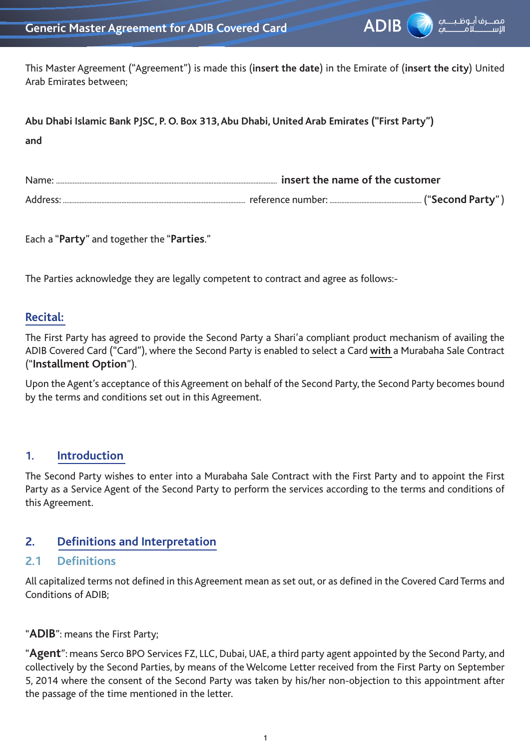

This Master Agreement ("Agreement") is made this (**insert the date**) in the Emirate of (**insert the city**) United Arab Emirates between;

| Abu Dhabi Islamic Bank PJSC, P. O. Box 313, Abu Dhabi, United Arab Emirates ("First Party") |  |
|---------------------------------------------------------------------------------------------|--|
| and                                                                                         |  |

| Name                | insert the name of the customer |                  |
|---------------------|---------------------------------|------------------|
| Addres <sup>,</sup> | reference number:               | ("Second Party"` |

Each a "**Party**" and together the "**Parties**."

The Parties acknowledge they are legally competent to contract and agree as follows:-

#### **Recital:**

The First Party has agreed to provide the Second Party a Shari'a compliant product mechanism of availing the ADIB Covered Card ("Card"), where the Second Party is enabled to select a Card **with** a Murabaha Sale Contract ("**Installment Option**").

Upon the Agent's acceptance of this Agreement on behalf of the Second Party, the Second Party becomes bound by the terms and conditions set out in this Agreement.

#### **1. Introduction**

The Second Party wishes to enter into a Murabaha Sale Contract with the First Party and to appoint the First Party as a Service Agent of the Second Party to perform the services according to the terms and conditions of this Agreement.

#### **2. Definitions and Interpretation**

#### **2.1 Definitions**

All capitalized terms not defined in this Agreement mean as set out, or as defined in the Covered Card Terms and Conditions of ADIB;

"**ADIB**": means the First Party;

"**Agent**": means Serco BPO Services FZ, LLC, Dubai, UAE, a third party agent appointed by the Second Party, and collectively by the Second Parties, by means of the Welcome Letter received from the First Party on September 5, 2014 where the consent of the Second Party was taken by his/her non-objection to this appointment after the passage of the time mentioned in the letter.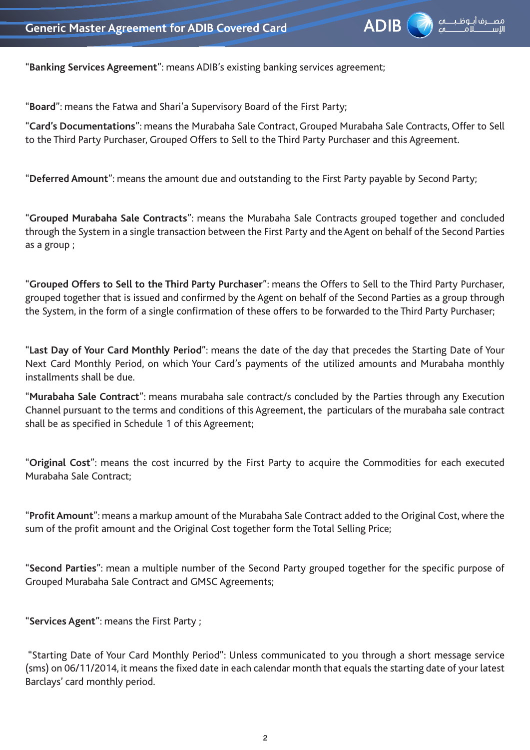

"**Banking Services Agreement**": means ADIB's existing banking services agreement;

"**Board**": means the Fatwa and Shari'a Supervisory Board of the First Party;

"**Card's Documentations**": means the Murabaha Sale Contract, Grouped Murabaha Sale Contracts, Offer to Sell to the Third Party Purchaser, Grouped Offers to Sell to the Third Party Purchaser and this Agreement.

"**Deferred Amount**": means the amount due and outstanding to the First Party payable by Second Party;

"**Grouped Murabaha Sale Contracts**": means the Murabaha Sale Contracts grouped together and concluded through the System in a single transaction between the First Party and the Agent on behalf of the Second Parties as a group ;

"**Grouped Offers to Sell to the Third Party Purchaser**": means the Offers to Sell to the Third Party Purchaser, grouped together that is issued and confirmed by the Agent on behalf of the Second Parties as a group through the System, in the form of a single confirmation of these offers to be forwarded to the Third Party Purchaser;

"**Last Day of Your Card Monthly Period**": means the date of the day that precedes the Starting Date of Your Next Card Monthly Period, on which Your Card's payments of the utilized amounts and Murabaha monthly installments shall be due.

"**Murabaha Sale Contract**": means murabaha sale contract/s concluded by the Parties through any Execution Channel pursuant to the terms and conditions of this Agreement, the particulars of the murabaha sale contract shall be as specified in Schedule 1 of this Agreement;

"**Original Cost**": means the cost incurred by the First Party to acquire the Commodities for each executed Murabaha Sale Contract;

"**Profit Amount**": means a markup amount of the Murabaha Sale Contract added to the Original Cost, where the sum of the profit amount and the Original Cost together form the Total Selling Price;

"**Second Parties**": mean a multiple number of the Second Party grouped together for the specific purpose of Grouped Murabaha Sale Contract and GMSC Agreements;

"**Services Agent**": means the First Party ;

 "Starting Date of Your Card Monthly Period": Unless communicated to you through a short message service (sms) on 06/11/2014, it means the fixed date in each calendar month that equals the starting date of your latest Barclays' card monthly period.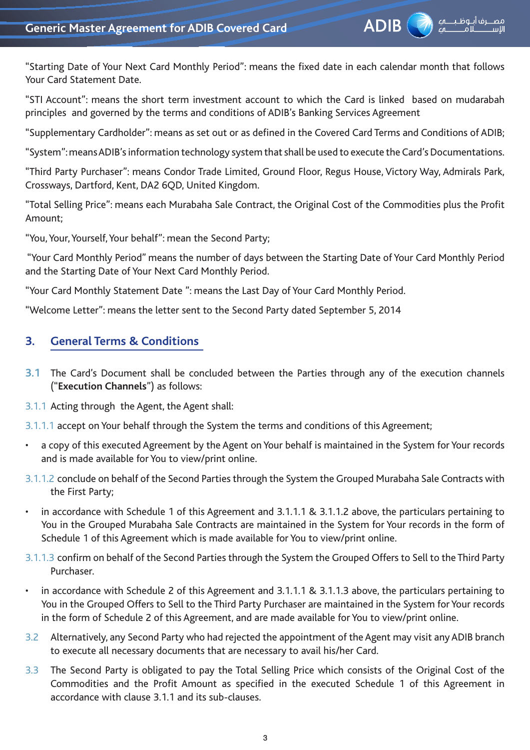

"Starting Date of Your Next Card Monthly Period": means the fixed date in each calendar month that follows Your Card Statement Date.

"STI Account": means the short term investment account to which the Card is linked based on mudarabah principles and governed by the terms and conditions of ADIB's Banking Services Agreement

"Supplementary Cardholder": means as set out or as defined in the Covered Card Terms and Conditions of ADIB;

"System": means ADIB's information technology system that shall be used to execute the Card's Documentations.

"Third Party Purchaser": means Condor Trade Limited, Ground Floor, Regus House, Victory Way, Admirals Park, Crossways, Dartford, Kent, DA2 6QD, United Kingdom.

"Total Selling Price": means each Murabaha Sale Contract, the Original Cost of the Commodities plus the Profit Amount;

"You, Your, Yourself, Your behalf": mean the Second Party;

 "Your Card Monthly Period" means the number of days between the Starting Date of Your Card Monthly Period and the Starting Date of Your Next Card Monthly Period.

"Your Card Monthly Statement Date ": means the Last Day of Your Card Monthly Period.

"Welcome Letter": means the letter sent to the Second Party dated September 5, 2014

### **3. General Terms & Conditions**

- **3.1** The Card's Document shall be concluded between the Parties through any of the execution channels ("**Execution Channels**") as follows:
- 3.1.1 Acting through the Agent, the Agent shall:
- 3.1.1.1 accept on Your behalf through the System the terms and conditions of this Agreement;
- a copy of this executed Agreement by the Agent on Your behalf is maintained in the System for Your records and is made available for You to view/print online.
- 3.1.1.2 conclude on behalf of the Second Parties through the System the Grouped Murabaha Sale Contracts with the First Party;
- • in accordance with Schedule 1 of this Agreement and 3.1.1.1 & 3.1.1.2 above, the particulars pertaining to You in the Grouped Murabaha Sale Contracts are maintained in the System for Your records in the form of Schedule 1 of this Agreement which is made available for You to view/print online.
- 3.1.1.3 confirm on behalf of the Second Parties through the System the Grouped Offers to Sell to the Third Party Purchaser.
- in accordance with Schedule 2 of this Agreement and 3.1.1.1 & 3.1.1.3 above, the particulars pertaining to You in the Grouped Offers to Sell to the Third Party Purchaser are maintained in the System for Your records in the form of Schedule 2 of this Agreement, and are made available for You to view/print online.
- 3.2 Alternatively, any Second Party who had rejected the appointment of the Agent may visit any ADIB branch to execute all necessary documents that are necessary to avail his/her Card.
- 3.3 The Second Party is obligated to pay the Total Selling Price which consists of the Original Cost of the Commodities and the Profit Amount as specified in the executed Schedule 1 of this Agreement in accordance with clause 3.1.1 and its sub-clauses.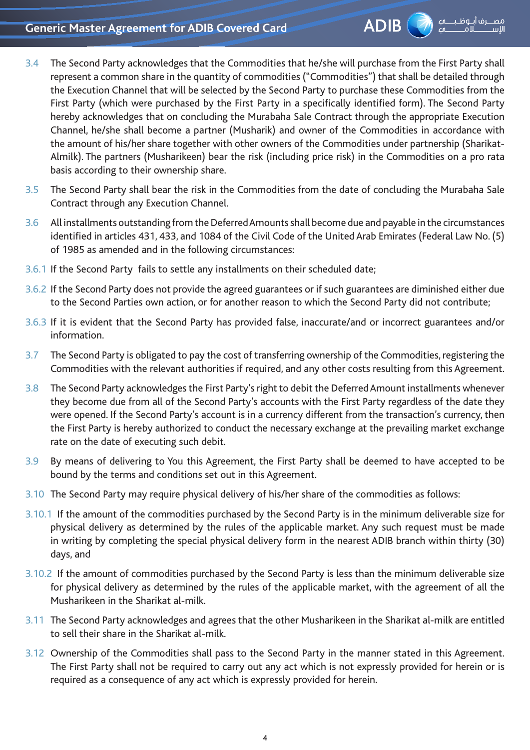## **Generic Master Agreement for ADIB Covered Card**



- 3.4 The Second Party acknowledges that the Commodities that he/she will purchase from the First Party shall represent a common share in the quantity of commodities ("Commodities") that shall be detailed through the Execution Channel that will be selected by the Second Party to purchase these Commodities from the First Party (which were purchased by the First Party in a specifically identified form). The Second Party hereby acknowledges that on concluding the Murabaha Sale Contract through the appropriate Execution Channel, he/she shall become a partner (Musharik) and owner of the Commodities in accordance with the amount of his/her share together with other owners of the Commodities under partnership (Sharikat-Almilk). The partners (Musharikeen) bear the risk (including price risk) in the Commodities on a pro rata basis according to their ownership share.
- 3.5 The Second Party shall bear the risk in the Commodities from the date of concluding the Murabaha Sale Contract through any Execution Channel.
- 3.6 All installments outstanding from the Deferred Amounts shall become due and payable in the circumstances identified in articles 431, 433, and 1084 of the Civil Code of the United Arab Emirates (Federal Law No. (5) of 1985 as amended and in the following circumstances:
- 3.6.1 If the Second Party fails to settle any installments on their scheduled date;
- 3.6.2 If the Second Party does not provide the agreed guarantees or if such guarantees are diminished either due to the Second Parties own action, or for another reason to which the Second Party did not contribute;
- 3.6.3 If it is evident that the Second Party has provided false, inaccurate/and or incorrect guarantees and/or information.
- 3.7 The Second Party is obligated to pay the cost of transferring ownership of the Commodities, registering the Commodities with the relevant authorities if required, and any other costs resulting from this Agreement.
- 3.8 The Second Party acknowledges the First Party's right to debit the Deferred Amount installments whenever they become due from all of the Second Party's accounts with the First Party regardless of the date they were opened. If the Second Party's account is in a currency different from the transaction's currency, then the First Party is hereby authorized to conduct the necessary exchange at the prevailing market exchange rate on the date of executing such debit.
- 3.9 By means of delivering to You this Agreement, the First Party shall be deemed to have accepted to be bound by the terms and conditions set out in this Agreement.
- 3.10 The Second Party may require physical delivery of his/her share of the commodities as follows:
- 3.10.1 If the amount of the commodities purchased by the Second Party is in the minimum deliverable size for physical delivery as determined by the rules of the applicable market. Any such request must be made in writing by completing the special physical delivery form in the nearest ADIB branch within thirty (30) days, and
- 3.10.2 If the amount of commodities purchased by the Second Party is less than the minimum deliverable size for physical delivery as determined by the rules of the applicable market, with the agreement of all the Musharikeen in the Sharikat al-milk.
- 3.11 The Second Party acknowledges and agrees that the other Musharikeen in the Sharikat al-milk are entitled to sell their share in the Sharikat al-milk.
- 3.12 Ownership of the Commodities shall pass to the Second Party in the manner stated in this Agreement. The First Party shall not be required to carry out any act which is not expressly provided for herein or is required as a consequence of any act which is expressly provided for herein.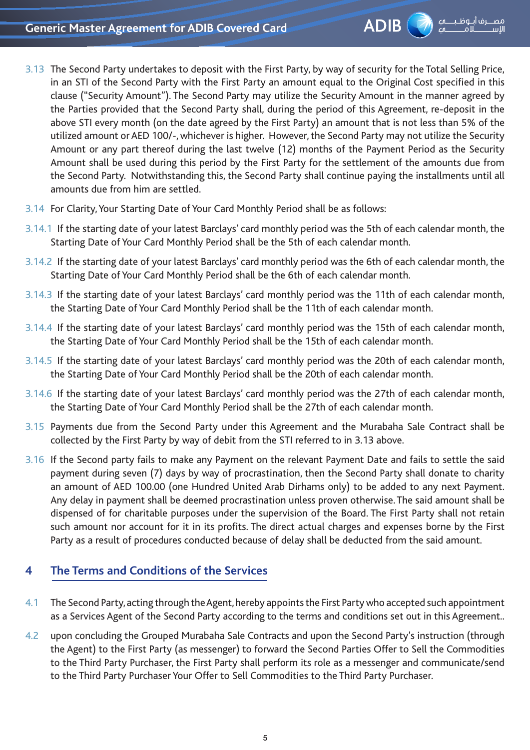

- 3.13 The Second Party undertakes to deposit with the First Party, by way of security for the Total Selling Price, in an STI of the Second Party with the First Party an amount equal to the Original Cost specified in this clause ("Security Amount"). The Second Party may utilize the Security Amount in the manner agreed by the Parties provided that the Second Party shall, during the period of this Agreement, re-deposit in the above STI every month (on the date agreed by the First Party) an amount that is not less than 5% of the utilized amount or AED 100/-, whichever is higher. However, the Second Party may not utilize the Security Amount or any part thereof during the last twelve (12) months of the Payment Period as the Security Amount shall be used during this period by the First Party for the settlement of the amounts due from the Second Party. Notwithstanding this, the Second Party shall continue paying the installments until all amounts due from him are settled.
- 3.14 For Clarity, Your Starting Date of Your Card Monthly Period shall be as follows:
- 3.14.1 If the starting date of your latest Barclays' card monthly period was the 5th of each calendar month, the Starting Date of Your Card Monthly Period shall be the 5th of each calendar month.
- 3.14.2 If the starting date of your latest Barclays' card monthly period was the 6th of each calendar month, the Starting Date of Your Card Monthly Period shall be the 6th of each calendar month.
- 3.14.3 If the starting date of your latest Barclays' card monthly period was the 11th of each calendar month, the Starting Date of Your Card Monthly Period shall be the 11th of each calendar month.
- 3.14.4 If the starting date of your latest Barclays' card monthly period was the 15th of each calendar month, the Starting Date of Your Card Monthly Period shall be the 15th of each calendar month.
- 3.14.5 If the starting date of your latest Barclays' card monthly period was the 20th of each calendar month, the Starting Date of Your Card Monthly Period shall be the 20th of each calendar month.
- 3.14.6 If the starting date of your latest Barclays' card monthly period was the 27th of each calendar month, the Starting Date of Your Card Monthly Period shall be the 27th of each calendar month.
- 3.15 Payments due from the Second Party under this Agreement and the Murabaha Sale Contract shall be collected by the First Party by way of debit from the STI referred to in 3.13 above.
- 3.16 If the Second party fails to make any Payment on the relevant Payment Date and fails to settle the said payment during seven (7) days by way of procrastination, then the Second Party shall donate to charity an amount of AED 100.00 (one Hundred United Arab Dirhams only) to be added to any next Payment. Any delay in payment shall be deemed procrastination unless proven otherwise. The said amount shall be dispensed of for charitable purposes under the supervision of the Board. The First Party shall not retain such amount nor account for it in its profits. The direct actual charges and expenses borne by the First Party as a result of procedures conducted because of delay shall be deducted from the said amount.

## **4 The Terms and Conditions of the Services**

- 4.1 The Second Party, acting through the Agent, hereby appoints the First Party who accepted such appointment as a Services Agent of the Second Party according to the terms and conditions set out in this Agreement..
- 4.2 upon concluding the Grouped Murabaha Sale Contracts and upon the Second Party's instruction (through the Agent) to the First Party (as messenger) to forward the Second Parties Offer to Sell the Commodities to the Third Party Purchaser, the First Party shall perform its role as a messenger and communicate/send to the Third Party Purchaser Your Offer to Sell Commodities to the Third Party Purchaser.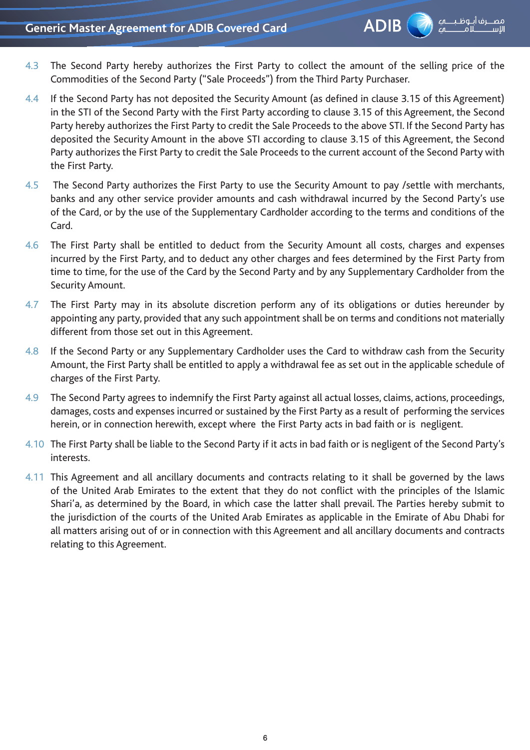- 4.3 The Second Party hereby authorizes the First Party to collect the amount of the selling price of the Commodities of the Second Party ("Sale Proceeds") from the Third Party Purchaser.
- 4.4 If the Second Party has not deposited the Security Amount (as defined in clause 3.15 of this Agreement) in the STI of the Second Party with the First Party according to clause 3.15 of this Agreement, the Second Party hereby authorizes the First Party to credit the Sale Proceeds to the above STI. If the Second Party has deposited the Security Amount in the above STI according to clause 3.15 of this Agreement, the Second Party authorizes the First Party to credit the Sale Proceeds to the current account of the Second Party with the First Party.
- 4.5 The Second Party authorizes the First Party to use the Security Amount to pay /settle with merchants, banks and any other service provider amounts and cash withdrawal incurred by the Second Party's use of the Card, or by the use of the Supplementary Cardholder according to the terms and conditions of the Card.
- 4.6 The First Party shall be entitled to deduct from the Security Amount all costs, charges and expenses incurred by the First Party, and to deduct any other charges and fees determined by the First Party from time to time, for the use of the Card by the Second Party and by any Supplementary Cardholder from the Security Amount.
- 4.7 The First Party may in its absolute discretion perform any of its obligations or duties hereunder by appointing any party, provided that any such appointment shall be on terms and conditions not materially different from those set out in this Agreement.
- 4.8 If the Second Party or any Supplementary Cardholder uses the Card to withdraw cash from the Security Amount, the First Party shall be entitled to apply a withdrawal fee as set out in the applicable schedule of charges of the First Party.
- 4.9 The Second Party agrees to indemnify the First Party against all actual losses, claims, actions, proceedings, damages, costs and expenses incurred or sustained by the First Party as a result of performing the services herein, or in connection herewith, except where the First Party acts in bad faith or is negligent.
- 4.10 The First Party shall be liable to the Second Party if it acts in bad faith or is negligent of the Second Party's interests.
- 4.11 This Agreement and all ancillary documents and contracts relating to it shall be governed by the laws of the United Arab Emirates to the extent that they do not conflict with the principles of the Islamic Shari'a, as determined by the Board, in which case the latter shall prevail. The Parties hereby submit to the jurisdiction of the courts of the United Arab Emirates as applicable in the Emirate of Abu Dhabi for all matters arising out of or in connection with this Agreement and all ancillary documents and contracts relating to this Agreement.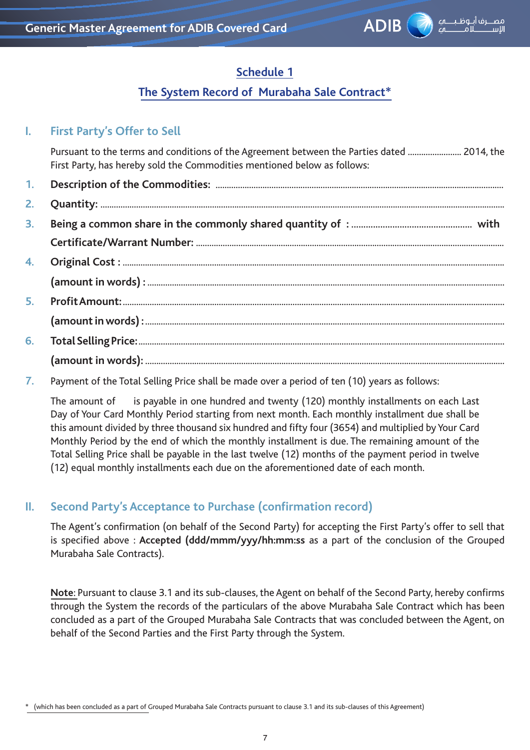

## **Schedule 1**

### **The System Record of Murabaha Sale Contract\***

## **I. First Party's Offer to Sell**

Pursuant to the terms and conditions of the Agreement between the Parties dated ........................ 2014, the First Party, has hereby sold the Commodities mentioned below as follows:

- **1. Description of the Commodities:** ................................................................................................................................. **2. Quantity:** ..................................................................................................................................................................................... **3. Being a common share in the commonly shared quantity of :** .................................................. **with Certificate/Warrant Number:** .......................................................................................................................................... **4. Original Cost :** ........................................................................................................................................................................... **(amount in words) :** ................................................................................................................................................................ **5. Profit Amount:** ........................................................................................................................................................................... **(amount in words) :** ................................................................................................................................................................. **6. Total Selling Price:** .................................................................................................................................................................... **(amount in words):** .................................................................................................................................................................
- **7.** Payment of the Total Selling Price shall be made over a period of ten (10) years as follows:

The amount of is payable in one hundred and twenty (120) monthly installments on each Last Day of Your Card Monthly Period starting from next month. Each monthly installment due shall be this amount divided by three thousand six hundred and fifty four (3654) and multiplied by Your Card Monthly Period by the end of which the monthly installment is due. The remaining amount of the Total Selling Price shall be payable in the last twelve (12) months of the payment period in twelve (12) equal monthly installments each due on the aforementioned date of each month.

### **II. Second Party's Acceptance to Purchase (confirmation record)**

The Agent's confirmation (on behalf of the Second Party) for accepting the First Party's offer to sell that is specified above : **Accepted (ddd/mmm/yyy/hh:mm:ss** as a part of the conclusion of the Grouped Murabaha Sale Contracts).

**Note**: Pursuant to clause 3.1 and its sub-clauses, the Agent on behalf of the Second Party, hereby confirms through the System the records of the particulars of the above Murabaha Sale Contract which has been concluded as a part of the Grouped Murabaha Sale Contracts that was concluded between the Agent, on behalf of the Second Parties and the First Party through the System.

<sup>\* (</sup>which has been concluded as a part of Grouped Murabaha Sale Contracts pursuant to clause 3.1 and its sub-clauses of this Agreement)